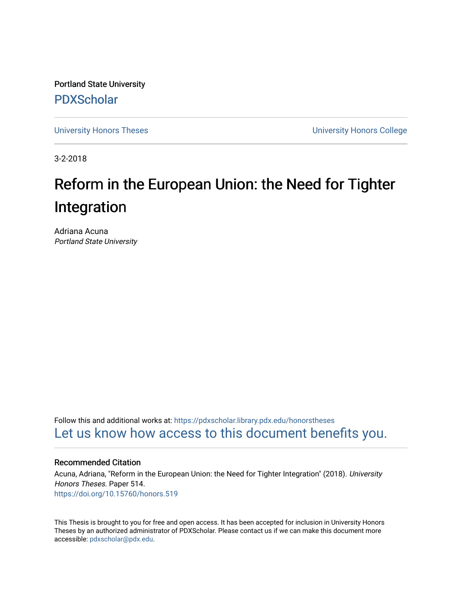Portland State University [PDXScholar](https://pdxscholar.library.pdx.edu/)

[University Honors Theses](https://pdxscholar.library.pdx.edu/honorstheses) [University Honors College](https://pdxscholar.library.pdx.edu/honors) 

3-2-2018

# Reform in the European Union: the Need for Tighter Integration

Adriana Acuna Portland State University

Follow this and additional works at: [https://pdxscholar.library.pdx.edu/honorstheses](https://pdxscholar.library.pdx.edu/honorstheses?utm_source=pdxscholar.library.pdx.edu%2Fhonorstheses%2F514&utm_medium=PDF&utm_campaign=PDFCoverPages)  [Let us know how access to this document benefits you.](http://library.pdx.edu/services/pdxscholar-services/pdxscholar-feedback/) 

#### Recommended Citation

Acuna, Adriana, "Reform in the European Union: the Need for Tighter Integration" (2018). University Honors Theses. Paper 514. <https://doi.org/10.15760/honors.519>

This Thesis is brought to you for free and open access. It has been accepted for inclusion in University Honors Theses by an authorized administrator of PDXScholar. Please contact us if we can make this document more accessible: [pdxscholar@pdx.edu.](mailto:pdxscholar@pdx.edu)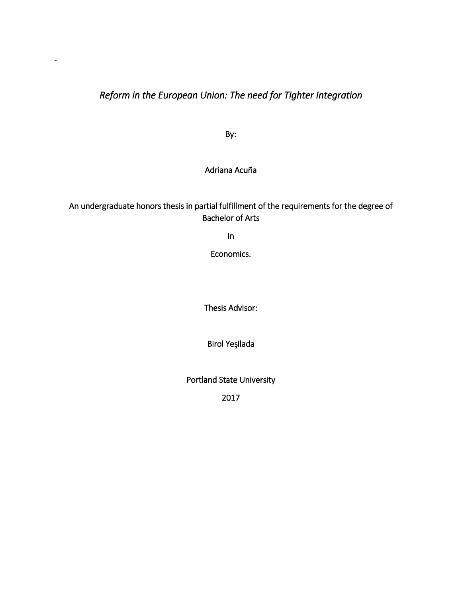# *Reform in the European Union: The need for Tighter Integration*

-

By:

## Adriana Acuña

# An undergraduate honors thesis in partial fulfillment of the requirements for the degree of Bachelor of Arts

In

Economics.

Thesis Advisor:

Birol Yeşilada

Portland State University

2017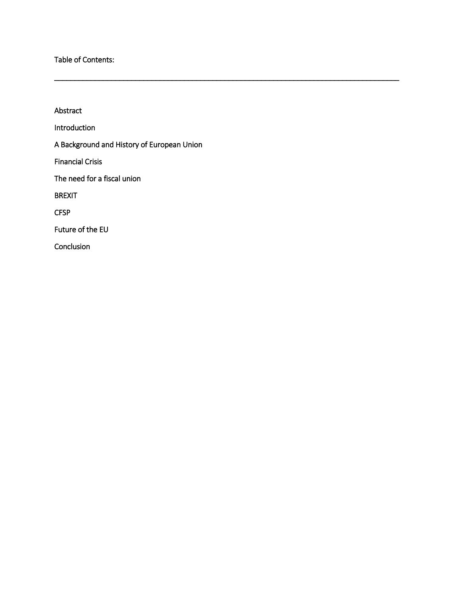Table of Contents:

Abstract Introduction A Background and History of European Union Financial Crisis The need for a fiscal union BREXIT **CFSP** Future of the EU Conclusion

\_\_\_\_\_\_\_\_\_\_\_\_\_\_\_\_\_\_\_\_\_\_\_\_\_\_\_\_\_\_\_\_\_\_\_\_\_\_\_\_\_\_\_\_\_\_\_\_\_\_\_\_\_\_\_\_\_\_\_\_\_\_\_\_\_\_\_\_\_\_\_\_\_\_\_\_\_\_\_\_\_\_\_\_\_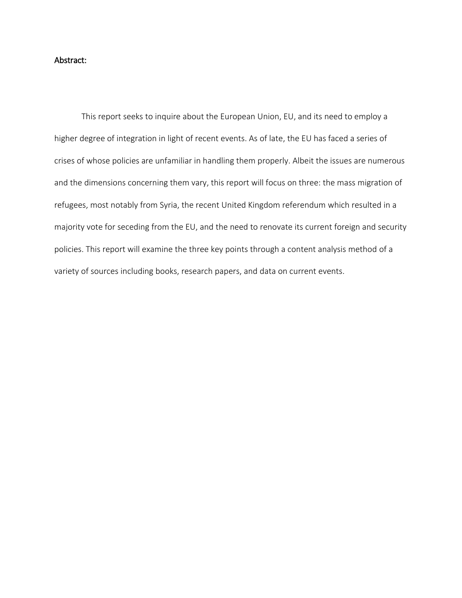## Abstract:

This report seeks to inquire about the European Union, EU, and its need to employ a higher degree of integration in light of recent events. As of late, the EU has faced a series of crises of whose policies are unfamiliar in handling them properly. Albeit the issues are numerous and the dimensions concerning them vary, this report will focus on three: the mass migration of refugees, most notably from Syria, the recent United Kingdom referendum which resulted in a majority vote for seceding from the EU, and the need to renovate its current foreign and security policies. This report will examine the three key points through a content analysis method of a variety of sources including books, research papers, and data on current events.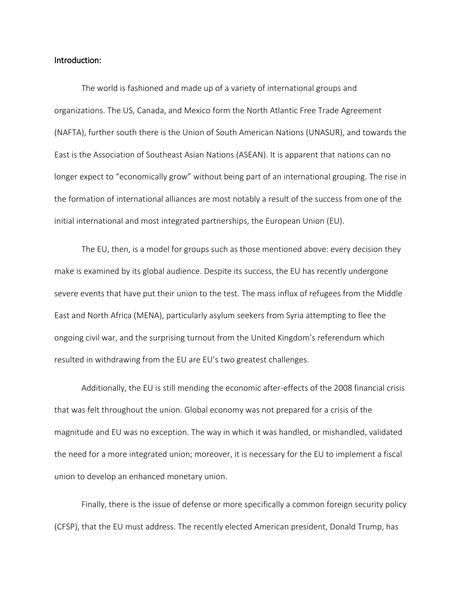#### Introduction:

The world is fashioned and made up of a variety of international groups and organizations. The US, Canada, and Mexico form the North Atlantic Free Trade Agreement (NAFTA), further south there is the Union of South American Nations (UNASUR), and towards the East is the Association of Southeast Asian Nations (ASEAN). It is apparent that nations can no longer expect to "economically grow" without being part of an international grouping. The rise in the formation of international alliances are most notably a result of the success from one of the initial international and most integrated partnerships, the European Union (EU).

The EU, then, is a model for groups such as those mentioned above: every decision they make is examined by its global audience. Despite its success, the EU has recently undergone severe events that have put their union to the test. The mass influx of refugees from the Middle East and North Africa (MENA), particularly asylum seekers from Syria attempting to flee the ongoing civil war, and the surprising turnout from the United Kingdom's referendum which resulted in withdrawing from the EU are EU's two greatest challenges.

Additionally, the EU is still mending the economic after-effects of the 2008 financial crisis that was felt throughout the union. Global economy was not prepared for a crisis of the magnitude and EU was no exception. The way in which it was handled, or mishandled, validated the need for a more integrated union; moreover, it is necessary for the EU to implement a fiscal union to develop an enhanced monetary union.

Finally, there is the issue of defense or more specifically a common foreign security policy (CFSP), that the EU must address. The recently elected American president, Donald Trump, has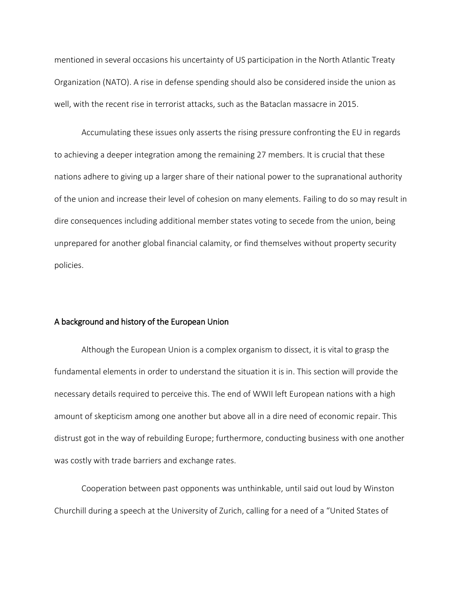mentioned in several occasions his uncertainty of US participation in the North Atlantic Treaty Organization (NATO). A rise in defense spending should also be considered inside the union as well, with the recent rise in terrorist attacks, such as the Bataclan massacre in 2015.

Accumulating these issues only asserts the rising pressure confronting the EU in regards to achieving a deeper integration among the remaining 27 members. It is crucial that these nations adhere to giving up a larger share of their national power to the supranational authority of the union and increase their level of cohesion on many elements. Failing to do so may result in dire consequences including additional member states voting to secede from the union, being unprepared for another global financial calamity, or find themselves without property security policies.

#### A background and history of the European Union

Although the European Union is a complex organism to dissect, it is vital to grasp the fundamental elements in order to understand the situation it is in. This section will provide the necessary details required to perceive this. The end of WWII left European nations with a high amount of skepticism among one another but above all in a dire need of economic repair. This distrust got in the way of rebuilding Europe; furthermore, conducting business with one another was costly with trade barriers and exchange rates.

Cooperation between past opponents was unthinkable, until said out loud by Winston Churchill during a speech at the University of Zurich, calling for a need of a "United States of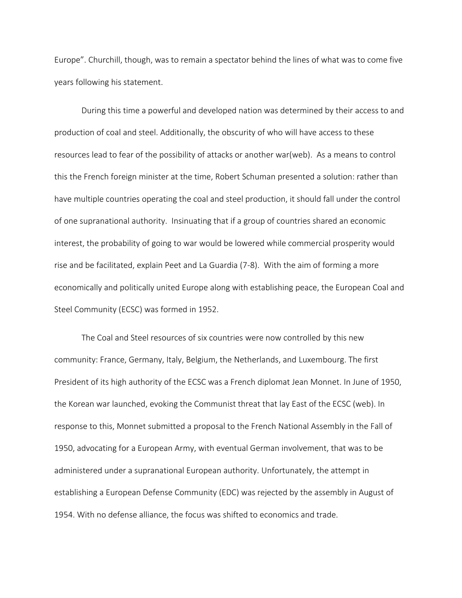Europe". Churchill, though, was to remain a spectator behind the lines of what was to come five years following his statement.

During this time a powerful and developed nation was determined by their access to and production of coal and steel. Additionally, the obscurity of who will have access to these resources lead to fear of the possibility of attacks or another war(web). As a means to control this the French foreign minister at the time, Robert Schuman presented a solution: rather than have multiple countries operating the coal and steel production, it should fall under the control of one supranational authority. Insinuating that if a group of countries shared an economic interest, the probability of going to war would be lowered while commercial prosperity would rise and be facilitated, explain Peet and La Guardia (7-8). With the aim of forming a more economically and politically united Europe along with establishing peace, the European Coal and Steel Community (ECSC) was formed in 1952.

The Coal and Steel resources of six countries were now controlled by this new community: France, Germany, Italy, Belgium, the Netherlands, and Luxembourg. The first President of its high authority of the ECSC was a French diplomat Jean Monnet. In June of 1950, the Korean war launched, evoking the Communist threat that lay East of the ECSC (web). In response to this, Monnet submitted a proposal to the French National Assembly in the Fall of 1950, advocating for a European Army, with eventual German involvement, that was to be administered under a supranational European authority. Unfortunately, the attempt in establishing a European Defense Community (EDC) was rejected by the assembly in August of 1954. With no defense alliance, the focus was shifted to economics and trade.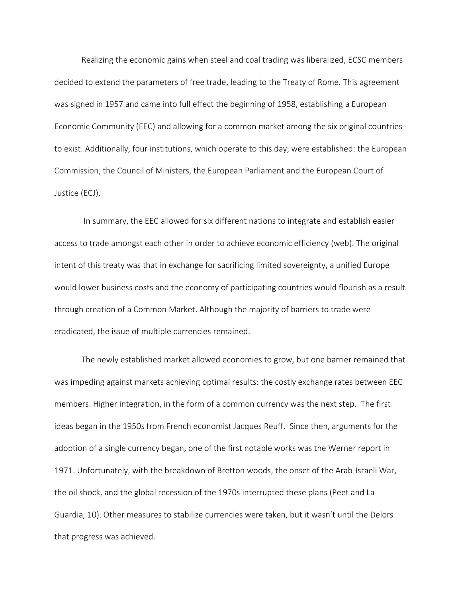Realizing the economic gains when steel and coal trading was liberalized, ECSC members decided to extend the parameters of free trade, leading to the Treaty of Rome. This agreement was signed in 1957 and came into full effect the beginning of 1958, establishing a European Economic Community (EEC) and allowing for a common market among the six original countries to exist. Additionally, four institutions, which operate to this day, were established: the European Commission, the Council of Ministers, the European Parliament and the European Court of Justice (ECJ).

In summary, the EEC allowed for six different nations to integrate and establish easier access to trade amongst each other in order to achieve economic efficiency (web). The original intent of this treaty was that in exchange for sacrificing limited sovereignty, a unified Europe would lower business costs and the economy of participating countries would flourish as a result through creation of a Common Market. Although the majority of barriers to trade were eradicated, the issue of multiple currencies remained.

The newly established market allowed economies to grow, but one barrier remained that was impeding against markets achieving optimal results: the costly exchange rates between EEC members. Higher integration, in the form of a common currency was the next step. The first ideas began in the 1950s from French economist Jacques Reuff. Since then, arguments for the adoption of a single currency began, one of the first notable works was the Werner report in 1971. Unfortunately, with the breakdown of Bretton woods, the onset of the Arab-Israeli War, the oil shock, and the global recession of the 1970s interrupted these plans (Peet and La Guardia, 10). Other measures to stabilize currencies were taken, but it wasn't until the Delors that progress was achieved.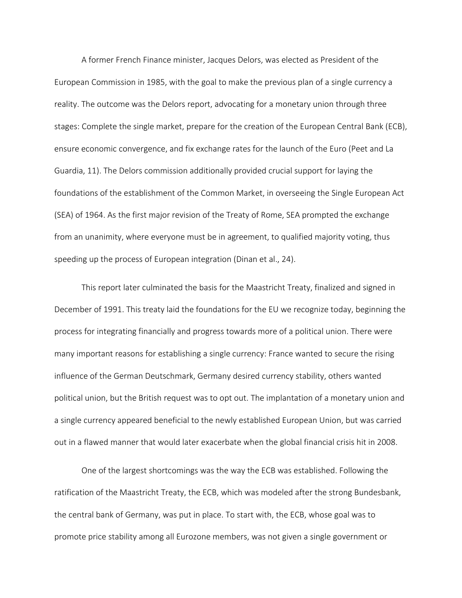A former French Finance minister, Jacques Delors, was elected as President of the European Commission in 1985, with the goal to make the previous plan of a single currency a reality. The outcome was the Delors report, advocating for a monetary union through three stages: Complete the single market, prepare for the creation of the European Central Bank (ECB), ensure economic convergence, and fix exchange rates for the launch of the Euro (Peet and La Guardia, 11). The Delors commission additionally provided crucial support for laying the foundations of the establishment of the Common Market, in overseeing the Single European Act (SEA) of 1964. As the first major revision of the Treaty of Rome, SEA prompted the exchange from an unanimity, where everyone must be in agreement, to qualified majority voting, thus speeding up the process of European integration (Dinan et al., 24).

This report later culminated the basis for the Maastricht Treaty, finalized and signed in December of 1991. This treaty laid the foundations for the EU we recognize today, beginning the process for integrating financially and progress towards more of a political union. There were many important reasons for establishing a single currency: France wanted to secure the rising influence of the German Deutschmark, Germany desired currency stability, others wanted political union, but the British request was to opt out. The implantation of a monetary union and a single currency appeared beneficial to the newly established European Union, but was carried out in a flawed manner that would later exacerbate when the global financial crisis hit in 2008.

One of the largest shortcomings was the way the ECB was established. Following the ratification of the Maastricht Treaty, the ECB, which was modeled after the strong Bundesbank, the central bank of Germany, was put in place. To start with, the ECB, whose goal was to promote price stability among all Eurozone members, was not given a single government or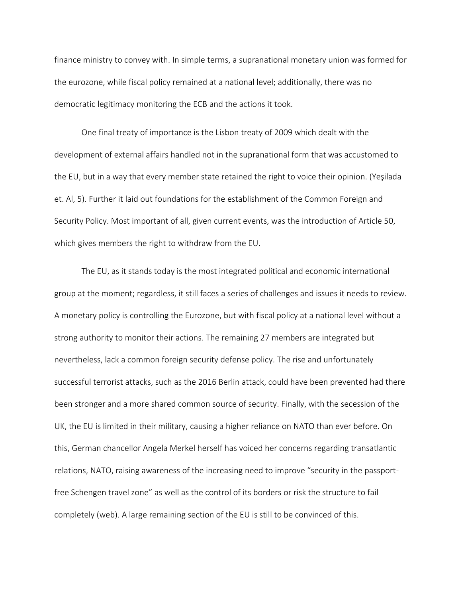finance ministry to convey with. In simple terms, a supranational monetary union was formed for the eurozone, while fiscal policy remained at a national level; additionally, there was no democratic legitimacy monitoring the ECB and the actions it took.

One final treaty of importance is the Lisbon treaty of 2009 which dealt with the development of external affairs handled not in the supranational form that was accustomed to the EU, but in a way that every member state retained the right to voice their opinion. (Yeşilada et. Al, 5). Further it laid out foundations for the establishment of the Common Foreign and Security Policy. Most important of all, given current events, was the introduction of Article 50, which gives members the right to withdraw from the EU.

The EU, as it stands today is the most integrated political and economic international group at the moment; regardless, it still faces a series of challenges and issues it needs to review. A monetary policy is controlling the Eurozone, but with fiscal policy at a national level without a strong authority to monitor their actions. The remaining 27 members are integrated but nevertheless, lack a common foreign security defense policy. The rise and unfortunately successful terrorist attacks, such as the 2016 Berlin attack, could have been prevented had there been stronger and a more shared common source of security. Finally, with the secession of the UK, the EU is limited in their military, causing a higher reliance on NATO than ever before. On this, German chancellor Angela Merkel herself has voiced her concerns regarding transatlantic relations, NATO, raising awareness of the increasing need to improve "security in the passportfree Schengen travel zone" as well as the control of its borders or risk the structure to fail completely (web). A large remaining section of the EU is still to be convinced of this.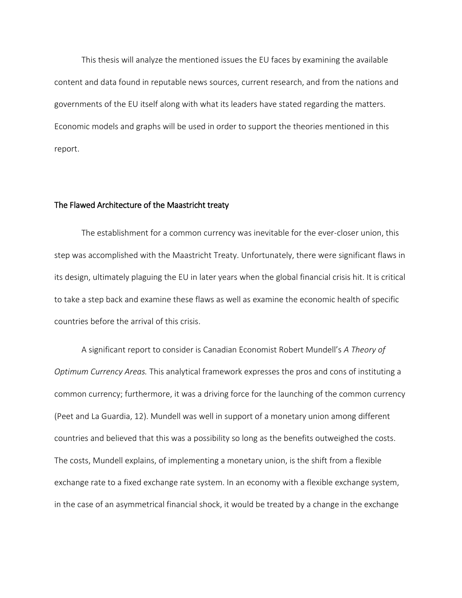This thesis will analyze the mentioned issues the EU faces by examining the available content and data found in reputable news sources, current research, and from the nations and governments of the EU itself along with what its leaders have stated regarding the matters. Economic models and graphs will be used in order to support the theories mentioned in this report.

## The Flawed Architecture of the Maastricht treaty

The establishment for a common currency was inevitable for the ever-closer union, this step was accomplished with the Maastricht Treaty. Unfortunately, there were significant flaws in its design, ultimately plaguing the EU in later years when the global financial crisis hit. It is critical to take a step back and examine these flaws as well as examine the economic health of specific countries before the arrival of this crisis.

A significant report to consider is Canadian Economist Robert Mundell's *A Theory of Optimum Currency Areas.* This analytical framework expresses the pros and cons of instituting a common currency; furthermore, it was a driving force for the launching of the common currency (Peet and La Guardia, 12). Mundell was well in support of a monetary union among different countries and believed that this was a possibility so long as the benefits outweighed the costs. The costs, Mundell explains, of implementing a monetary union, is the shift from a flexible exchange rate to a fixed exchange rate system. In an economy with a flexible exchange system, in the case of an asymmetrical financial shock, it would be treated by a change in the exchange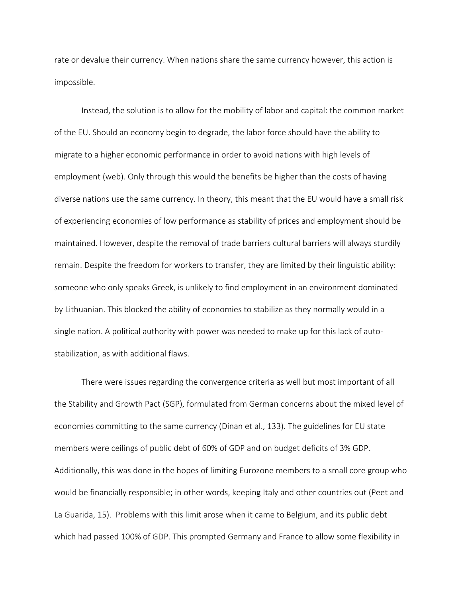rate or devalue their currency. When nations share the same currency however, this action is impossible.

Instead, the solution is to allow for the mobility of labor and capital: the common market of the EU. Should an economy begin to degrade, the labor force should have the ability to migrate to a higher economic performance in order to avoid nations with high levels of employment (web). Only through this would the benefits be higher than the costs of having diverse nations use the same currency. In theory, this meant that the EU would have a small risk of experiencing economies of low performance as stability of prices and employment should be maintained. However, despite the removal of trade barriers cultural barriers will always sturdily remain. Despite the freedom for workers to transfer, they are limited by their linguistic ability: someone who only speaks Greek, is unlikely to find employment in an environment dominated by Lithuanian. This blocked the ability of economies to stabilize as they normally would in a single nation. A political authority with power was needed to make up for this lack of autostabilization, as with additional flaws.

There were issues regarding the convergence criteria as well but most important of all the Stability and Growth Pact (SGP), formulated from German concerns about the mixed level of economies committing to the same currency (Dinan et al., 133). The guidelines for EU state members were ceilings of public debt of 60% of GDP and on budget deficits of 3% GDP. Additionally, this was done in the hopes of limiting Eurozone members to a small core group who would be financially responsible; in other words, keeping Italy and other countries out (Peet and La Guarida, 15). Problems with this limit arose when it came to Belgium, and its public debt which had passed 100% of GDP. This prompted Germany and France to allow some flexibility in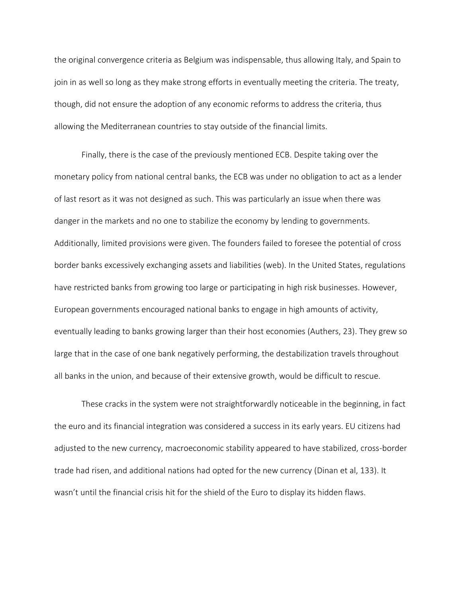the original convergence criteria as Belgium was indispensable, thus allowing Italy, and Spain to join in as well so long as they make strong efforts in eventually meeting the criteria. The treaty, though, did not ensure the adoption of any economic reforms to address the criteria, thus allowing the Mediterranean countries to stay outside of the financial limits.

Finally, there is the case of the previously mentioned ECB. Despite taking over the monetary policy from national central banks, the ECB was under no obligation to act as a lender of last resort as it was not designed as such. This was particularly an issue when there was danger in the markets and no one to stabilize the economy by lending to governments. Additionally, limited provisions were given. The founders failed to foresee the potential of cross border banks excessively exchanging assets and liabilities (web). In the United States, regulations have restricted banks from growing too large or participating in high risk businesses. However, European governments encouraged national banks to engage in high amounts of activity, eventually leading to banks growing larger than their host economies (Authers, 23). They grew so large that in the case of one bank negatively performing, the destabilization travels throughout all banks in the union, and because of their extensive growth, would be difficult to rescue.

These cracks in the system were not straightforwardly noticeable in the beginning, in fact the euro and its financial integration was considered a success in its early years. EU citizens had adjusted to the new currency, macroeconomic stability appeared to have stabilized, cross-border trade had risen, and additional nations had opted for the new currency (Dinan et al, 133). It wasn't until the financial crisis hit for the shield of the Euro to display its hidden flaws.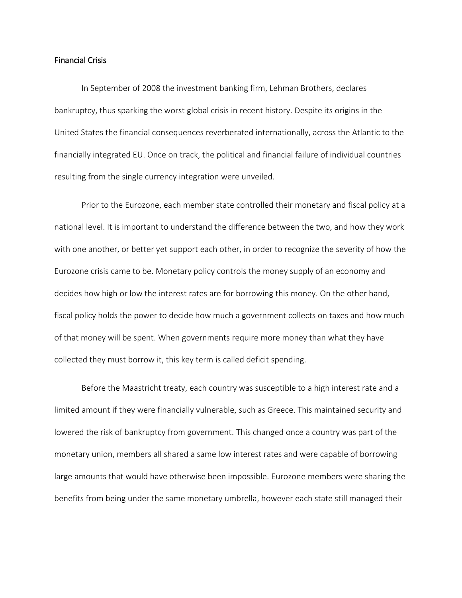### Financial Crisis

In September of 2008 the investment banking firm, Lehman Brothers, declares bankruptcy, thus sparking the worst global crisis in recent history. Despite its origins in the United States the financial consequences reverberated internationally, across the Atlantic to the financially integrated EU. Once on track, the political and financial failure of individual countries resulting from the single currency integration were unveiled.

Prior to the Eurozone, each member state controlled their monetary and fiscal policy at a national level. It is important to understand the difference between the two, and how they work with one another, or better yet support each other, in order to recognize the severity of how the Eurozone crisis came to be. Monetary policy controls the money supply of an economy and decides how high or low the interest rates are for borrowing this money. On the other hand, fiscal policy holds the power to decide how much a government collects on taxes and how much of that money will be spent. When governments require more money than what they have collected they must borrow it, this key term is called deficit spending.

Before the Maastricht treaty, each country was susceptible to a high interest rate and a limited amount if they were financially vulnerable, such as Greece. This maintained security and lowered the risk of bankruptcy from government. This changed once a country was part of the monetary union, members all shared a same low interest rates and were capable of borrowing large amounts that would have otherwise been impossible. Eurozone members were sharing the benefits from being under the same monetary umbrella, however each state still managed their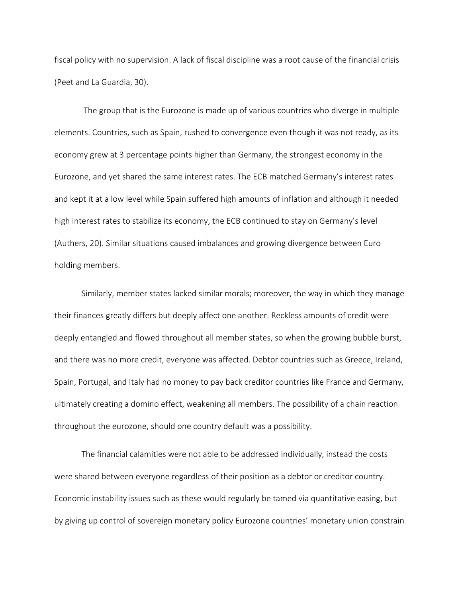fiscal policy with no supervision. A lack of fiscal discipline was a root cause of the financial crisis (Peet and La Guardia, 30).

The group that is the Eurozone is made up of various countries who diverge in multiple elements. Countries, such as Spain, rushed to convergence even though it was not ready, as its economy grew at 3 percentage points higher than Germany, the strongest economy in the Eurozone, and yet shared the same interest rates. The ECB matched Germany's interest rates and kept it at a low level while Spain suffered high amounts of inflation and although it needed high interest rates to stabilize its economy, the ECB continued to stay on Germany's level (Authers, 20). Similar situations caused imbalances and growing divergence between Euro holding members.

Similarly, member states lacked similar morals; moreover, the way in which they manage their finances greatly differs but deeply affect one another. Reckless amounts of credit were deeply entangled and flowed throughout all member states, so when the growing bubble burst, and there was no more credit, everyone was affected. Debtor countries such as Greece, Ireland, Spain, Portugal, and Italy had no money to pay back creditor countries like France and Germany, ultimately creating a domino effect, weakening all members. The possibility of a chain reaction throughout the eurozone, should one country default was a possibility.

The financial calamities were not able to be addressed individually, instead the costs were shared between everyone regardless of their position as a debtor or creditor country. Economic instability issues such as these would regularly be tamed via quantitative easing, but by giving up control of sovereign monetary policy Eurozone countries' monetary union constrain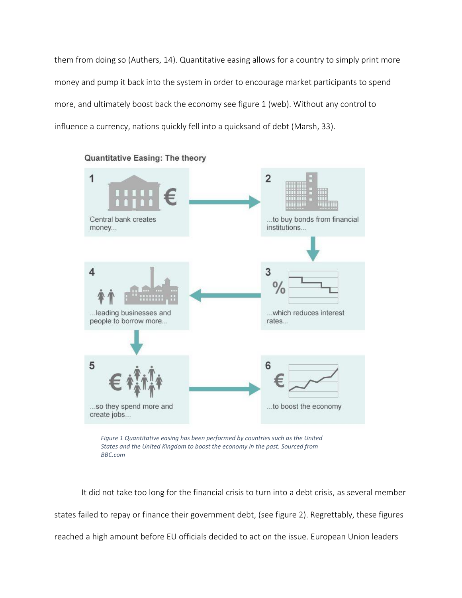them from doing so (Authers, 14). Quantitative easing allows for a country to simply print more money and pump it back into the system in order to encourage market participants to spend more, and ultimately boost back the economy see figure 1 (web). Without any control to influence a currency, nations quickly fell into a quicksand of debt (Marsh, 33).



Quantitative Easing: The theory

*Figure 1 Quantitative easing has been performed by countries such as the United States and the United Kingdom to boost the economy in the past. Sourced from BBC.com*

It did not take too long for the financial crisis to turn into a debt crisis, as several member states failed to repay or finance their government debt, (see figure 2). Regrettably, these figures reached a high amount before EU officials decided to act on the issue. European Union leaders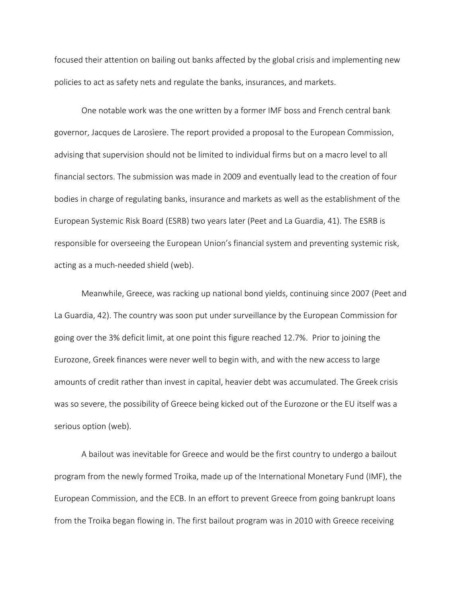focused their attention on bailing out banks affected by the global crisis and implementing new policies to act as safety nets and regulate the banks, insurances, and markets.

One notable work was the one written by a former IMF boss and French central bank governor, Jacques de Larosìere. The report provided a proposal to the European Commission, advising that supervision should not be limited to individual firms but on a macro level to all financial sectors. The submission was made in 2009 and eventually lead to the creation of four bodies in charge of regulating banks, insurance and markets as well as the establishment of the European Systemic Risk Board (ESRB) two years later (Peet and La Guardia, 41). The ESRB is responsible for overseeing the European Union's financial system and preventing systemic risk, acting as a much-needed shield (web).

Meanwhile, Greece, was racking up national bond yields, continuing since 2007 (Peet and La Guardia, 42). The country was soon put under surveillance by the European Commission for going over the 3% deficit limit, at one point this figure reached 12.7%. Prior to joining the Eurozone, Greek finances were never well to begin with, and with the new access to large amounts of credit rather than invest in capital, heavier debt was accumulated. The Greek crisis was so severe, the possibility of Greece being kicked out of the Eurozone or the EU itself was a serious option (web).

A bailout was inevitable for Greece and would be the first country to undergo a bailout program from the newly formed Troika, made up of the International Monetary Fund (IMF), the European Commission, and the ECB. In an effort to prevent Greece from going bankrupt loans from the Troika began flowing in. The first bailout program was in 2010 with Greece receiving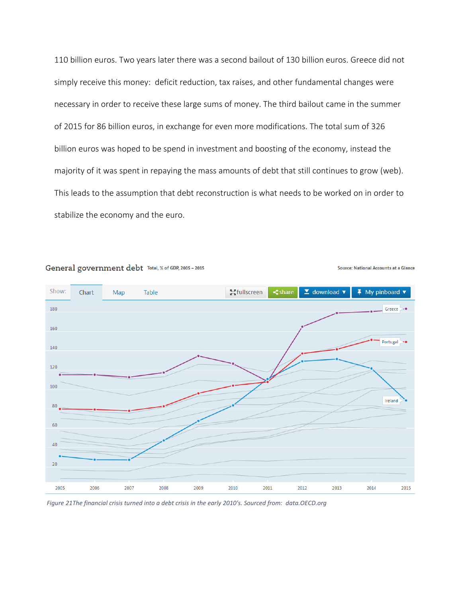110 billion euros. Two years later there was a second bailout of 130 billion euros. Greece did not simply receive this money: deficit reduction, tax raises, and other fundamental changes were necessary in order to receive these large sums of money. The third bailout came in the summer of 2015 for 86 billion euros, in exchange for even more modifications. The total sum of 326 billion euros was hoped to be spend in investment and boosting of the economy, instead the majority of it was spent in repaying the mass amounts of debt that still continues to grow (web). This leads to the assumption that debt reconstruction is what needs to be worked on in order to stabilize the economy and the euro.



#### General government debt Total, % of GDP, 2005 - 2015

*Figure 21The financial crisis turned into a debt crisis in the early 2010's. Sourced from: data.OECD.org* 

**Source: National Accounts at a Glance**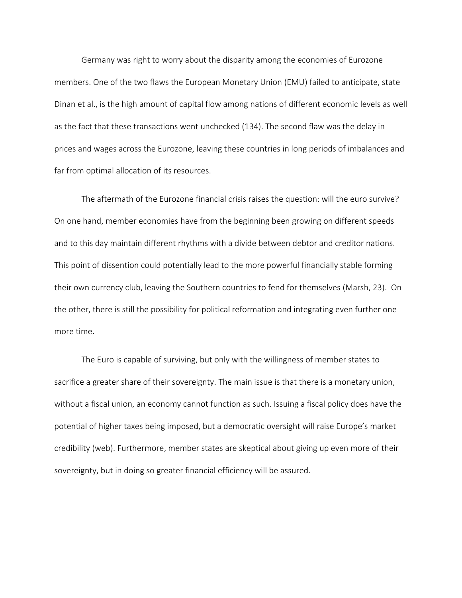Germany was right to worry about the disparity among the economies of Eurozone members. One of the two flaws the European Monetary Union (EMU) failed to anticipate, state Dinan et al., is the high amount of capital flow among nations of different economic levels as well as the fact that these transactions went unchecked (134). The second flaw was the delay in prices and wages across the Eurozone, leaving these countries in long periods of imbalances and far from optimal allocation of its resources.

The aftermath of the Eurozone financial crisis raises the question: will the euro survive? On one hand, member economies have from the beginning been growing on different speeds and to this day maintain different rhythms with a divide between debtor and creditor nations. This point of dissention could potentially lead to the more powerful financially stable forming their own currency club, leaving the Southern countries to fend for themselves (Marsh, 23). On the other, there is still the possibility for political reformation and integrating even further one more time.

The Euro is capable of surviving, but only with the willingness of member states to sacrifice a greater share of their sovereignty. The main issue is that there is a monetary union, without a fiscal union, an economy cannot function as such. Issuing a fiscal policy does have the potential of higher taxes being imposed, but a democratic oversight will raise Europe's market credibility (web). Furthermore, member states are skeptical about giving up even more of their sovereignty, but in doing so greater financial efficiency will be assured.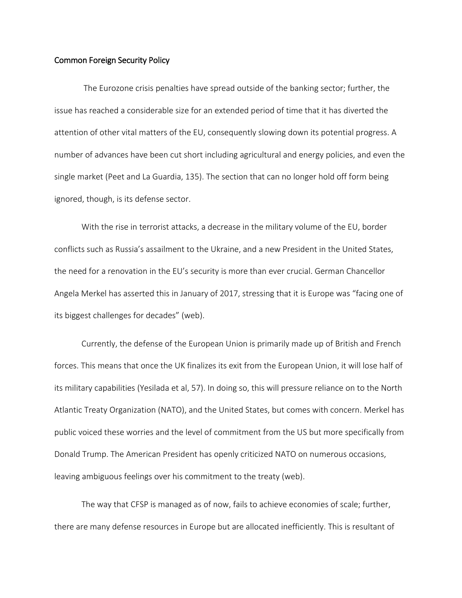#### Common Foreign Security Policy

 The Eurozone crisis penalties have spread outside of the banking sector; further, the issue has reached a considerable size for an extended period of time that it has diverted the attention of other vital matters of the EU, consequently slowing down its potential progress. A number of advances have been cut short including agricultural and energy policies, and even the single market (Peet and La Guardia, 135). The section that can no longer hold off form being ignored, though, is its defense sector.

With the rise in terrorist attacks, a decrease in the military volume of the EU, border conflicts such as Russia's assailment to the Ukraine, and a new President in the United States, the need for a renovation in the EU's security is more than ever crucial. German Chancellor Angela Merkel has asserted this in January of 2017, stressing that it is Europe was "facing one of its biggest challenges for decades" (web).

Currently, the defense of the European Union is primarily made up of British and French forces. This means that once the UK finalizes its exit from the European Union, it will lose half of its military capabilities (Yesilada et al, 57). In doing so, this will pressure reliance on to the North Atlantic Treaty Organization (NATO), and the United States, but comes with concern. Merkel has public voiced these worries and the level of commitment from the US but more specifically from Donald Trump. The American President has openly criticized NATO on numerous occasions, leaving ambiguous feelings over his commitment to the treaty (web).

The way that CFSP is managed as of now, fails to achieve economies of scale; further, there are many defense resources in Europe but are allocated inefficiently. This is resultant of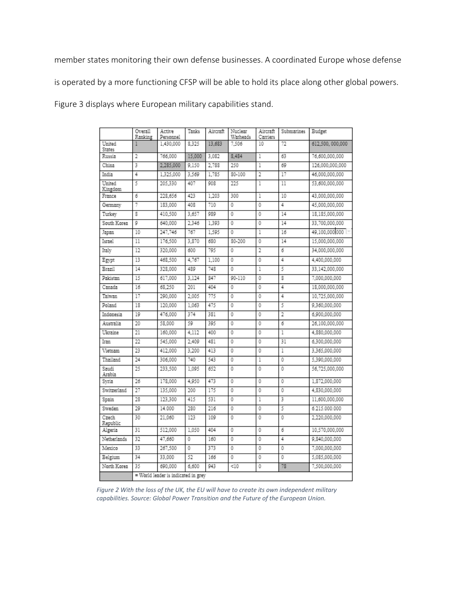member states monitoring their own defense businesses. A coordinated Europe whose defense

is operated by a more functioning CFSP will be able to hold its place along other global powers.

Figure 3 displays where European military capabilities stand.

|                         | Overall<br>Ranking                  | Active<br>Personnel | Tanks  | Aircraft | Nuclear<br>Warheads | Aircraft<br>Carriers | Submarines     | Budget          |
|-------------------------|-------------------------------------|---------------------|--------|----------|---------------------|----------------------|----------------|-----------------|
| United<br><b>States</b> |                                     | 1.430.000           | 8.325  | 13.683   | 7.506               | 10                   | 72             | 612.500.000.000 |
| Russia                  | 2                                   | 766.000             | 15,000 | 3.082    | 8.484               | 1                    | 63             | 76.600.000.000  |
| China                   | 3                                   | 2.285.000           | 9.150  | 2.788    | 250                 | 1                    | 69             | 126.000.000.000 |
| India                   | 4                                   | 1.325.000           | 3.569  | 1,785    | 80-100              | 2                    | 17             | 46.000.000.000  |
| United<br>Kingdom       | 5                                   | 205.330             | 407    | 908      | 225                 | 1                    | 11             | 53.600.000.000  |
| France                  | 6                                   | 228.656             | 423    | 1.203    | 300                 | 1                    | 10             | 43.000.000.000  |
| Germany                 | 7                                   | 183,000             | 408    | 710      | 0                   | $\ddot{\phantom{a}}$ | 4              | 45.000.000.000  |
| Turkev                  | 8                                   | 410.500             | 3.657  | 089      | 0                   | 0                    | 14             | 18.185.000.000  |
| South Korea             | Q                                   | 640,000             | 2.346  | 1,393    | 0                   | 0                    | 14             | 33,700,000,000  |
| Japan                   | 10                                  | 247.746             | 767    | 1.595    | 0                   | 1                    | 16             | 49,100,000,000  |
| Israel                  | 11                                  | 176.500             | 3.870  | 680      | 80-200              | 0                    | 14             | 15.000.000.000  |
| Italy                   | 12                                  | 320,000             | 600    | 705      | 0                   | 2                    | 6              | 34.000.000.000  |
| Egypt                   | 13                                  | 468.500             | 4.767  | 1.100    | 0                   | 0                    | 4              | 4.400.000.000   |
| Brazil                  | 14                                  | 328.000             | 489    | 748      | 0                   | 1                    | 5              | 33.142.000.000  |
| <b>Pakistan</b>         | 15                                  | 617.000             | 3.124  | 847      | 90-110              | 0                    | 8              | 7.000.000.000   |
| Canada                  | 16                                  | 68.250              | 201    | 404      | 0                   | 0                    | 4              | 18,000,000,000  |
| Taiwan                  | 17                                  | 290,000             | 2.005  | 775      | 0                   | 0                    | 4              | 10.725.000.000  |
| Poland                  | 18                                  | 120,000             | 1.063  | 475      | 0                   | 0                    | 5              | 9.360.000.000   |
| Indonesia               | 10                                  | 476.000             | 374    | 381      | Ō                   | 0                    | $\overline{2}$ | 6.900.000.000   |
| Australia               | 20                                  | 58,000              | 59     | 395      | 0                   | 0                    | 6              | 26,100,000,000  |
| Ukraine                 | 21                                  | 160,000             | 4.112  | 400      | ō                   | Ō                    | 1              | 4.880.000.000   |
| Tram                    | 22                                  | 545.000             | 2.409  | 481      | 0                   | 0                    | 31             | 6.300.000.000   |
| Vietnam                 | 23                                  | 412.000             | 3.200  | 413      | 0                   | 0                    | 1              | 3.365.000.000   |
| Thailand                | 24                                  | 306,000             | 740    | 543      | 0                   | ī                    | 0              | 5.390.000.000   |
| Sandi<br>Arabia         | 25                                  | 233.500             | 1.095  | 652      | 0                   | Ō                    | 0              | 56.725.000.000  |
| Svria                   | 26                                  | 178,000             | 4.950  | 473      | 0                   | 0                    | 0              | 1.872.000.000   |
| Switzerland             | 27                                  | 135.000             | 200    | 175      | 0                   | 0                    | 0              | 4.830.000.000   |
| Spain                   | 28                                  | 123.300             | 415    | 531      | 0                   | 1                    | 3              | 11.600.000.000  |
| Sweden                  | 29                                  | 14.000              | 280    | 216      | 0                   | 0                    | 5              | 6.215.000.000   |
| Czech<br>Republic       | 30                                  | 21.060              | 123    | 109      | 0                   | 0                    | 0              | 2.220.000.000   |
| Algeria                 | 31                                  | 512.000             | 1.050  | 404      | 0                   | 0                    | б              | 10.570.000.000  |
| Netherlands             | 32                                  | 47.660              | 0      | 160      | 0                   | 0                    | 4              | 9.840.000.000   |
| Mexico                  | 33                                  | 267.500             | 0      | 373      | 0                   | 0                    | 0              | 7.000.000.000   |
| Belgium                 | 34                                  | 33,000              | 52     | 166      | 0                   | 0                    | 0              | 5.085.000.000   |
| North Korea             | 35                                  | 690,000             | 6,600  | 943      | < 10                | 0                    | 78             | 7.500.000.000   |
|                         | = World leader is indicated in grev |                     |        |          |                     |                      |                |                 |

*Figure 2 With the loss of the UK, the EU will have to create its own independent military capabilities. Source: Global Power Transition and the Future of the European Union.*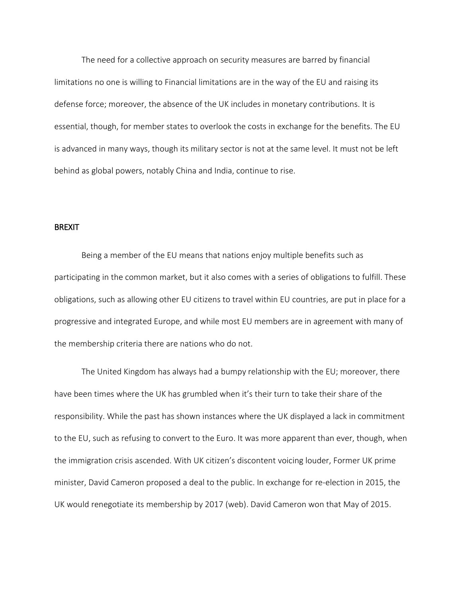The need for a collective approach on security measures are barred by financial limitations no one is willing to Financial limitations are in the way of the EU and raising its defense force; moreover, the absence of the UK includes in monetary contributions. It is essential, though, for member states to overlook the costs in exchange for the benefits. The EU is advanced in many ways, though its military sector is not at the same level. It must not be left behind as global powers, notably China and India, continue to rise.

#### BREXIT

Being a member of the EU means that nations enjoy multiple benefits such as participating in the common market, but it also comes with a series of obligations to fulfill. These obligations, such as allowing other EU citizens to travel within EU countries, are put in place for a progressive and integrated Europe, and while most EU members are in agreement with many of the membership criteria there are nations who do not.

The United Kingdom has always had a bumpy relationship with the EU; moreover, there have been times where the UK has grumbled when it's their turn to take their share of the responsibility. While the past has shown instances where the UK displayed a lack in commitment to the EU, such as refusing to convert to the Euro. It was more apparent than ever, though, when the immigration crisis ascended. With UK citizen's discontent voicing louder, Former UK prime minister, David Cameron proposed a deal to the public. In exchange for re-election in 2015, the UK would renegotiate its membership by 2017 (web). David Cameron won that May of 2015.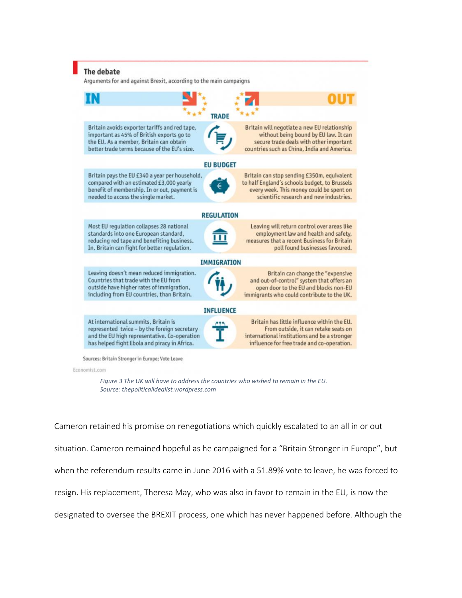

Economist.com

*Figure 3 The UK will have to address the countries who wished to remain in the EU. Source: thepoliticalidealist.wordpress.com*

Cameron retained his promise on renegotiations which quickly escalated to an all in or out situation. Cameron remained hopeful as he campaigned for a "Britain Stronger in Europe", but when the referendum results came in June 2016 with a 51.89% vote to leave, he was forced to resign. His replacement, Theresa May, who was also in favor to remain in the EU, is now the designated to oversee the BREXIT process, one which has never happened before. Although the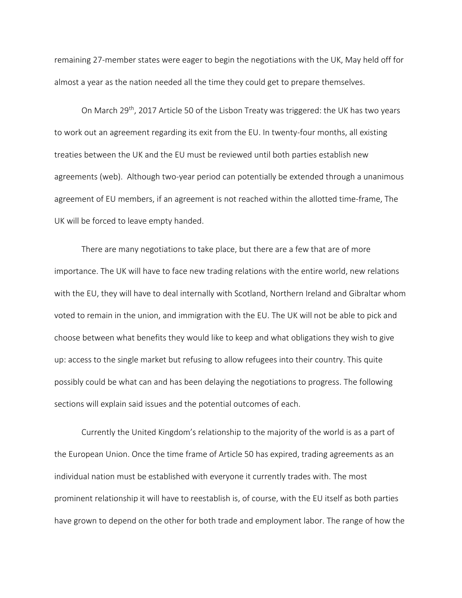remaining 27-member states were eager to begin the negotiations with the UK, May held off for almost a year as the nation needed all the time they could get to prepare themselves.

On March 29<sup>th</sup>, 2017 Article 50 of the Lisbon Treaty was triggered: the UK has two years to work out an agreement regarding its exit from the EU. In twenty-four months, all existing treaties between the UK and the EU must be reviewed until both parties establish new agreements (web). Although two-year period can potentially be extended through a unanimous agreement of EU members, if an agreement is not reached within the allotted time-frame, The UK will be forced to leave empty handed.

There are many negotiations to take place, but there are a few that are of more importance. The UK will have to face new trading relations with the entire world, new relations with the EU, they will have to deal internally with Scotland, Northern Ireland and Gibraltar whom voted to remain in the union, and immigration with the EU. The UK will not be able to pick and choose between what benefits they would like to keep and what obligations they wish to give up: access to the single market but refusing to allow refugees into their country. This quite possibly could be what can and has been delaying the negotiations to progress. The following sections will explain said issues and the potential outcomes of each.

Currently the United Kingdom's relationship to the majority of the world is as a part of the European Union. Once the time frame of Article 50 has expired, trading agreements as an individual nation must be established with everyone it currently trades with. The most prominent relationship it will have to reestablish is, of course, with the EU itself as both parties have grown to depend on the other for both trade and employment labor. The range of how the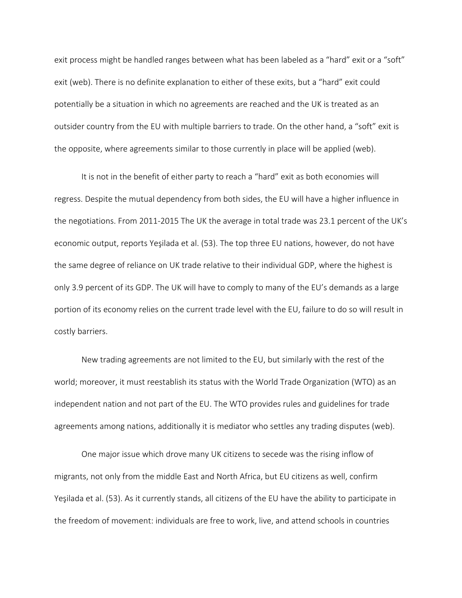exit process might be handled ranges between what has been labeled as a "hard" exit or a "soft" exit (web). There is no definite explanation to either of these exits, but a "hard" exit could potentially be a situation in which no agreements are reached and the UK is treated as an outsider country from the EU with multiple barriers to trade. On the other hand, a "soft" exit is the opposite, where agreements similar to those currently in place will be applied (web).

It is not in the benefit of either party to reach a "hard" exit as both economies will regress. Despite the mutual dependency from both sides, the EU will have a higher influence in the negotiations. From 2011-2015 The UK the average in total trade was 23.1 percent of the UK's economic output, reports Yeşilada et al. (53). The top three EU nations, however, do not have the same degree of reliance on UK trade relative to their individual GDP, where the highest is only 3.9 percent of its GDP. The UK will have to comply to many of the EU's demands as a large portion of its economy relies on the current trade level with the EU, failure to do so will result in costly barriers.

New trading agreements are not limited to the EU, but similarly with the rest of the world; moreover, it must reestablish its status with the World Trade Organization (WTO) as an independent nation and not part of the EU. The WTO provides rules and guidelines for trade agreements among nations, additionally it is mediator who settles any trading disputes (web).

One major issue which drove many UK citizens to secede was the rising inflow of migrants, not only from the middle East and North Africa, but EU citizens as well, confirm Yeşilada et al. (53). As it currently stands, all citizens of the EU have the ability to participate in the freedom of movement: individuals are free to work, live, and attend schools in countries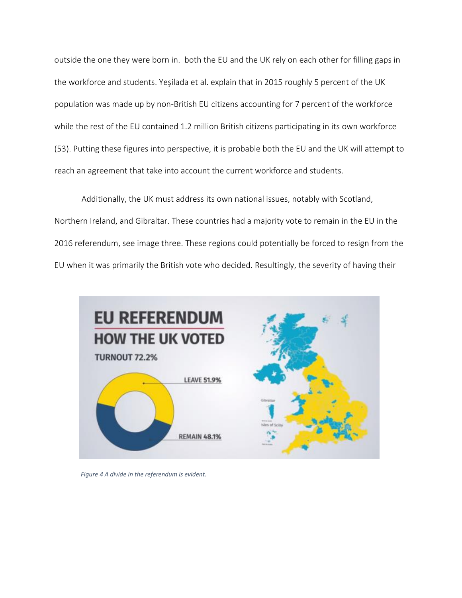outside the one they were born in. both the EU and the UK rely on each other for filling gaps in the workforce and students. Yeşilada et al. explain that in 2015 roughly 5 percent of the UK population was made up by non-British EU citizens accounting for 7 percent of the workforce while the rest of the EU contained 1.2 million British citizens participating in its own workforce (53). Putting these figures into perspective, it is probable both the EU and the UK will attempt to reach an agreement that take into account the current workforce and students.

Additionally, the UK must address its own national issues, notably with Scotland, Northern Ireland, and Gibraltar. These countries had a majority vote to remain in the EU in the 2016 referendum, see image three. These regions could potentially be forced to resign from the EU when it was primarily the British vote who decided. Resultingly, the severity of having their



*Figure 4 A divide in the referendum is evident.*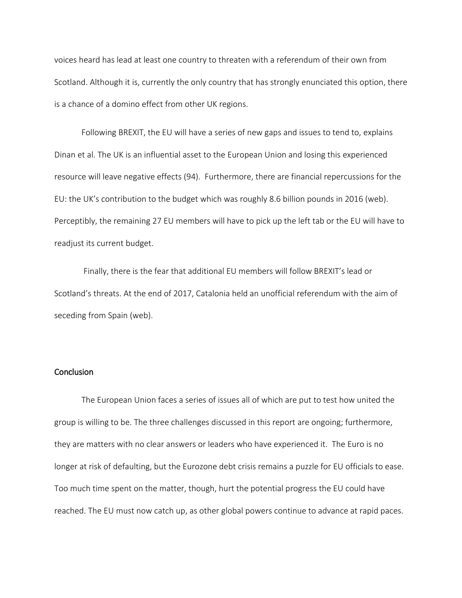voices heard has lead at least one country to threaten with a referendum of their own from Scotland. Although it is, currently the only country that has strongly enunciated this option, there is a chance of a domino effect from other UK regions.

Following BREXIT, the EU will have a series of new gaps and issues to tend to, explains Dinan et al. The UK is an influential asset to the European Union and losing this experienced resource will leave negative effects (94). Furthermore, there are financial repercussions for the EU: the UK's contribution to the budget which was roughly 8.6 billion pounds in 2016 (web). Perceptibly, the remaining 27 EU members will have to pick up the left tab or the EU will have to readjust its current budget.

Finally, there is the fear that additional EU members will follow BREXIT's lead or Scotland's threats. At the end of 2017, Catalonia held an unofficial referendum with the aim of seceding from Spain (web).

# **Conclusion**

The European Union faces a series of issues all of which are put to test how united the group is willing to be. The three challenges discussed in this report are ongoing; furthermore, they are matters with no clear answers or leaders who have experienced it. The Euro is no longer at risk of defaulting, but the Eurozone debt crisis remains a puzzle for EU officials to ease. Too much time spent on the matter, though, hurt the potential progress the EU could have reached. The EU must now catch up, as other global powers continue to advance at rapid paces.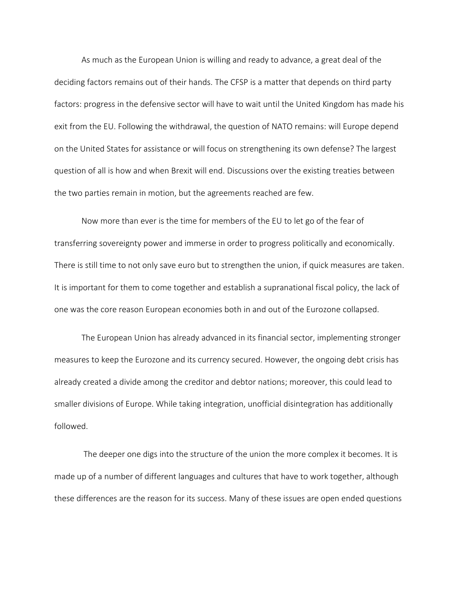As much as the European Union is willing and ready to advance, a great deal of the deciding factors remains out of their hands. The CFSP is a matter that depends on third party factors: progress in the defensive sector will have to wait until the United Kingdom has made his exit from the EU. Following the withdrawal, the question of NATO remains: will Europe depend on the United States for assistance or will focus on strengthening its own defense? The largest question of all is how and when Brexit will end. Discussions over the existing treaties between the two parties remain in motion, but the agreements reached are few.

Now more than ever is the time for members of the EU to let go of the fear of transferring sovereignty power and immerse in order to progress politically and economically. There is still time to not only save euro but to strengthen the union, if quick measures are taken. It is important for them to come together and establish a supranational fiscal policy, the lack of one was the core reason European economies both in and out of the Eurozone collapsed.

The European Union has already advanced in its financial sector, implementing stronger measures to keep the Eurozone and its currency secured. However, the ongoing debt crisis has already created a divide among the creditor and debtor nations; moreover, this could lead to smaller divisions of Europe. While taking integration, unofficial disintegration has additionally followed.

The deeper one digs into the structure of the union the more complex it becomes. It is made up of a number of different languages and cultures that have to work together, although these differences are the reason for its success. Many of these issues are open ended questions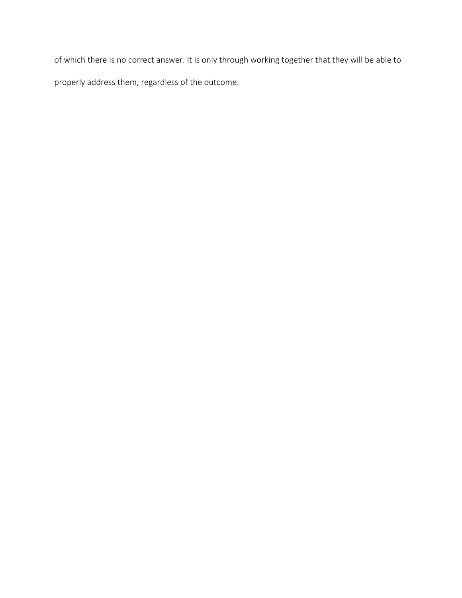of which there is no correct answer. It is only through working together that they will be able to properly address them, regardless of the outcome.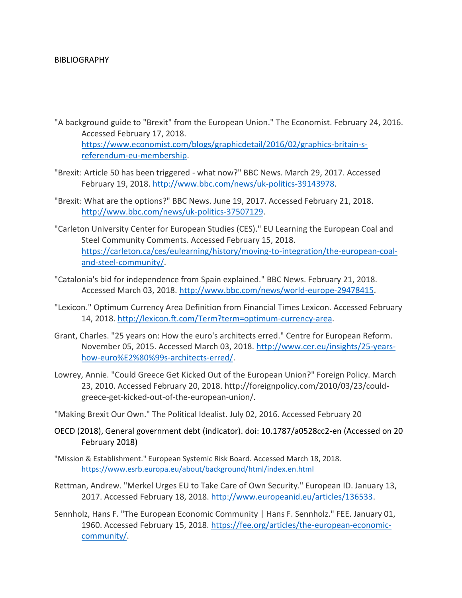## BIBLIOGRAPHY

- "A background guide to "Brexit" from the European Union." The Economist. February 24, 2016. Accessed February 17, 2018. [https://www.economist.com/blogs/graphicdetail/2016/02/graphics-britain-s](https://www.economist.com/blogs/graphicdetail/2016/02/graphics-britain-s-referendum-eu-membership)[referendum-eu-membership.](https://www.economist.com/blogs/graphicdetail/2016/02/graphics-britain-s-referendum-eu-membership)
- "Brexit: Article 50 has been triggered what now?" BBC News. March 29, 2017. Accessed February 19, 2018. [http://www.bbc.com/news/uk-politics-39143978.](http://www.bbc.com/news/uk-politics-39143978)
- "Brexit: What are the options?" BBC News. June 19, 2017. Accessed February 21, 2018. [http://www.bbc.com/news/uk-politics-37507129.](http://www.bbc.com/news/uk-politics-37507129)
- "Carleton University Center for European Studies (CES)." EU Learning the European Coal and Steel Community Comments. Accessed February 15, 2018. [https://carleton.ca/ces/eulearning/history/moving-to-integration/the-european-coal](https://carleton.ca/ces/eulearning/history/moving-to-integration/the-european-coal-and-steel-community/)[and-steel-community/.](https://carleton.ca/ces/eulearning/history/moving-to-integration/the-european-coal-and-steel-community/)
- "Catalonia's bid for independence from Spain explained." BBC News. February 21, 2018. Accessed March 03, 2018. [http://www.bbc.com/news/world-europe-29478415.](http://www.bbc.com/news/world-europe-29478415)
- "Lexicon." Optimum Currency Area Definition from Financial Times Lexicon. Accessed February 14, 2018. [http://lexicon.ft.com/Term?term=optimum-currency-area.](http://lexicon.ft.com/Term?term=optimum-currency-area)
- Grant, Charles. "25 years on: How the euro's architects erred." Centre for European Reform. November 05, 2015. Accessed March 03, 2018. [http://www.cer.eu/insights/25-years](http://www.cer.eu/insights/25-years-how-euro%E2%80%99s-architects-erred/)[how-euro%E2%80%99s-architects-erred/.](http://www.cer.eu/insights/25-years-how-euro%E2%80%99s-architects-erred/)
- Lowrey, Annie. "Could Greece Get Kicked Out of the European Union?" Foreign Policy. March 23, 2010. Accessed February 20, 2018. http://foreignpolicy.com/2010/03/23/couldgreece-get-kicked-out-of-the-european-union/.
- "Making Brexit Our Own." The Political Idealist. July 02, 2016. Accessed February 20
- OECD (2018), General government debt (indicator). doi: 10.1787/a0528cc2-en (Accessed on 20 February 2018)
- "Mission & Establishment." European Systemic Risk Board. Accessed March 18, 2018. <https://www.esrb.europa.eu/about/background/html/index.en.html>
- Rettman, Andrew. "Merkel Urges EU to Take Care of Own Security." European ID. January 13, 2017. Accessed February 18, 2018. [http://www.europeanid.eu/articles/136533.](http://www.europeanid.eu/articles/136533)
- Sennholz, Hans F. "The European Economic Community | Hans F. Sennholz." FEE. January 01, 1960. Accessed February 15, 2018. [https://fee.org/articles/the-european-economic](https://fee.org/articles/the-european-economic-community/)[community/.](https://fee.org/articles/the-european-economic-community/)